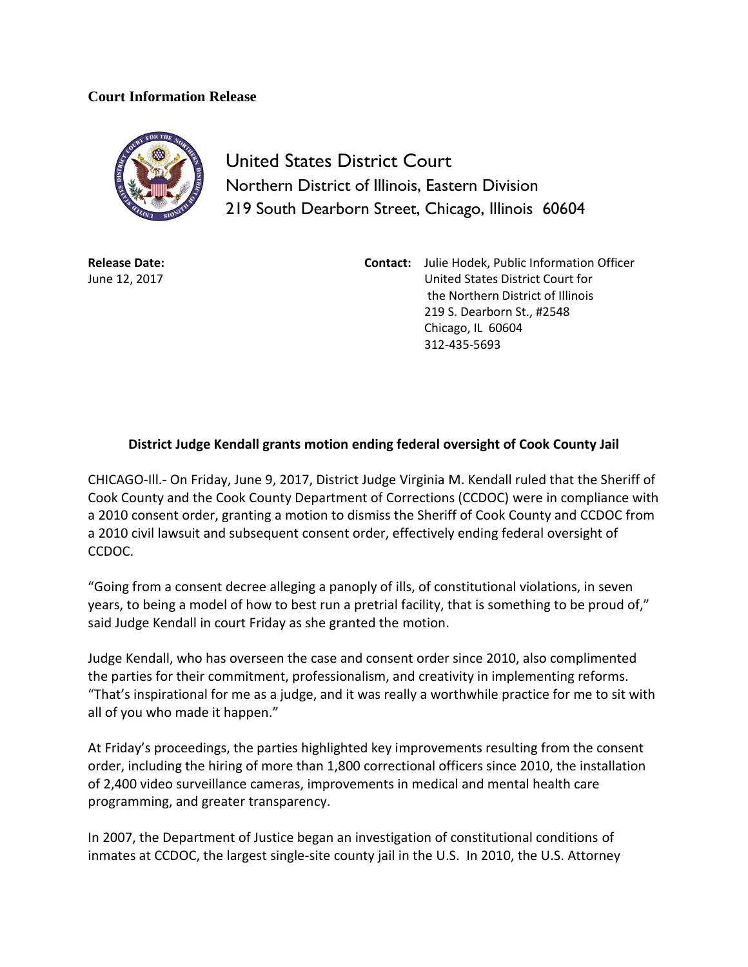## **Court Information Release**



United States District Court Northern District of Illinois, Eastern Division 219 South Dearborn Street, Chicago, Illinois 60604

**Release Date:** June 12, 2017

**Contact:** Julie Hodek, Public Information Officer United States District Court for the Northern District of Illinois 219 S. Dearborn St., #2548 Chicago, IL 60604 312-435-5693

## **District Judge Kendall grants motion ending federal oversight of Cook County Jail**

CHICAGO-Ill.- On Friday, June 9, 2017, District Judge Virginia M. Kendall ruled that the Sheriff of Cook County and the Cook County Department of Corrections (CCDOC) were in compliance with a 2010 consent order, granting a motion to dismiss the Sheriff of Cook County and CCDOC from a 2010 civil lawsuit and subsequent consent order, effectively ending federal oversight of CCDOC.

"Going from a consent decree alleging a panoply of ills, of constitutional violations, in seven years, to being a model of how to best run a pretrial facility, that is something to be proud of," said Judge Kendall in court Friday as she granted the motion.

Judge Kendall, who has overseen the case and consent order since 2010, also complimented the parties for their commitment, professionalism, and creativity in implementing reforms. "That's inspirational for me as a judge, and it was really a worthwhile practice for me to sit with all of you who made it happen."

At Friday's proceedings, the parties highlighted key improvements resulting from the consent order, including the hiring of more than 1,800 correctional officers since 2010, the installation of 2,400 video surveillance cameras, improvements in medical and mental health care programming, and greater transparency.

In 2007, the Department of Justice began an investigation of constitutional conditions of inmates at CCDOC, the largest single-site county jail in the U.S. In 2010, the U.S. Attorney